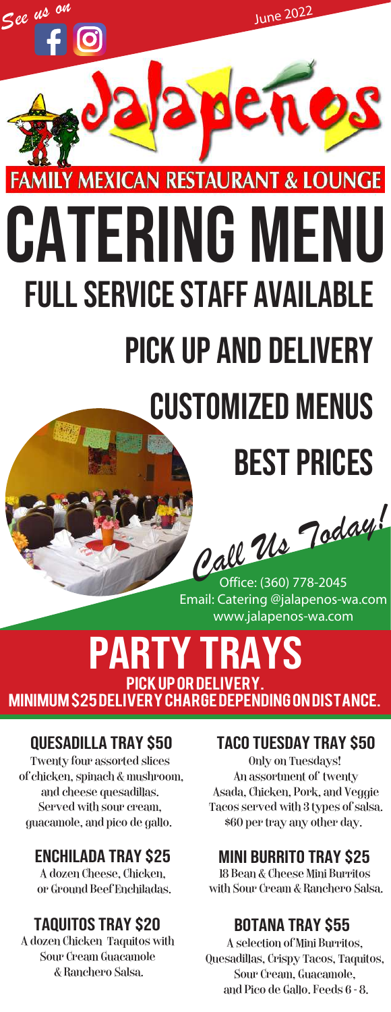

# Catering Menu Full Service Staff Available Pick up and Delivery

## Customized menus

### Best Prices

*Call Us Today!* 

Email: Catering @jalapenos-wa.com www.jalapenos-wa.com

#### party trays Pick up or Delivery.

Minimum \$25 Delivery Charge depending on distance.

#### Quesadilla Tray \$50

Twenty four assorted slices of chicken, spinach & mushroom, and cheese quesadillas. Served with sour cream, guacamole, and pico de gallo.

#### Enchilada tray \$25

A dozen Cheese, Chicken. or Ground Beef Enchiladas.

#### taquitos tray \$20

A dozen Chicken Taquitos with Sour Cream Guacamole & Ranchero Salsa.

#### Taco Tuesday Tray \$50

Only on Tuesdays! An assortment of twenty Asada, Chicken, Pork, and Veggie Tacos served with 3 types of salsa. \$60 per tray any other day.

#### Mini burrito tray \$25

18 Bean & Cheese Mini Burritos with Sour Cream & Ranchero Salsa.

#### botana tray \$55

A selection of Mini Burritos, Quesadillas, Crispy Tacos, Taquitos, Sour Cream, Guacamole, and Pico de Gallo. Feeds  $6 - 8$ .